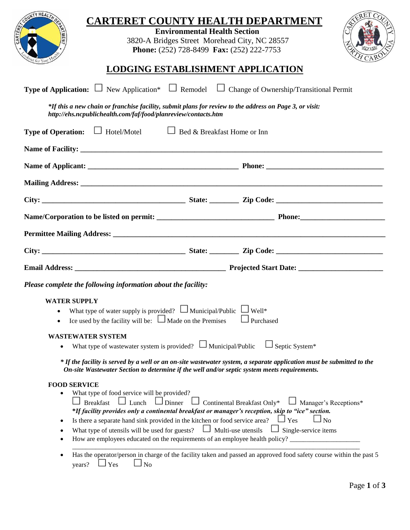| NTY HEALTH                                                        | <b>CARTERET COUNTY HEALTH DEPARTMENT</b><br><b>Environmental Health Section</b><br>3820-A Bridges Street Morehead City, NC 28557<br>Phone: (252) 728-8499 Fax: (252) 222-7753                                                                                                                                                                                                                                                                                                                                                                                                                                                                                                                                             |
|-------------------------------------------------------------------|---------------------------------------------------------------------------------------------------------------------------------------------------------------------------------------------------------------------------------------------------------------------------------------------------------------------------------------------------------------------------------------------------------------------------------------------------------------------------------------------------------------------------------------------------------------------------------------------------------------------------------------------------------------------------------------------------------------------------|
|                                                                   | LODGING ESTABLISHMENT APPLICATION                                                                                                                                                                                                                                                                                                                                                                                                                                                                                                                                                                                                                                                                                         |
|                                                                   | <b>Type of Application:</b> $\Box$ New Application* $\Box$ Remodel $\Box$ Change of Ownership/Transitional Permit                                                                                                                                                                                                                                                                                                                                                                                                                                                                                                                                                                                                         |
|                                                                   | *If this a new chain or franchise facility, submit plans for review to the address on Page 3, or visit:<br>http://ehs.ncpublichealth.com/faf/food/planreview/contacts.htm                                                                                                                                                                                                                                                                                                                                                                                                                                                                                                                                                 |
|                                                                   | <b>Type of Operation:</b> $\Box$ Hotel/Motel $\Box$ Bed & Breakfast Home or Inn                                                                                                                                                                                                                                                                                                                                                                                                                                                                                                                                                                                                                                           |
|                                                                   |                                                                                                                                                                                                                                                                                                                                                                                                                                                                                                                                                                                                                                                                                                                           |
|                                                                   |                                                                                                                                                                                                                                                                                                                                                                                                                                                                                                                                                                                                                                                                                                                           |
|                                                                   |                                                                                                                                                                                                                                                                                                                                                                                                                                                                                                                                                                                                                                                                                                                           |
|                                                                   |                                                                                                                                                                                                                                                                                                                                                                                                                                                                                                                                                                                                                                                                                                                           |
|                                                                   |                                                                                                                                                                                                                                                                                                                                                                                                                                                                                                                                                                                                                                                                                                                           |
|                                                                   |                                                                                                                                                                                                                                                                                                                                                                                                                                                                                                                                                                                                                                                                                                                           |
|                                                                   |                                                                                                                                                                                                                                                                                                                                                                                                                                                                                                                                                                                                                                                                                                                           |
|                                                                   |                                                                                                                                                                                                                                                                                                                                                                                                                                                                                                                                                                                                                                                                                                                           |
|                                                                   | Please complete the following information about the facility:                                                                                                                                                                                                                                                                                                                                                                                                                                                                                                                                                                                                                                                             |
| <b>WATER SUPPLY</b>                                               | What type of water supply is provided? $\Box$ Municipal/Public $\Box$ Well*<br>Ice used by the facility will be: $\Box$ Made on the Premises<br>$\Box$ Purchased                                                                                                                                                                                                                                                                                                                                                                                                                                                                                                                                                          |
| <b>WASTEWATER SYSTEM</b>                                          | What type of wastewater system is provided? $\Box$ Municipal/Public<br>$\Box$ Septic System*                                                                                                                                                                                                                                                                                                                                                                                                                                                                                                                                                                                                                              |
|                                                                   | * If the facility is served by a well or an on-site wastewater system, a separate application must be submitted to the<br>On-site Wastewater Section to determine if the well and/or septic system meets requirements.                                                                                                                                                                                                                                                                                                                                                                                                                                                                                                    |
| <b>FOOD SERVICE</b><br>$\bullet$<br>٠<br>٠<br>$\bullet$<br>years? | What type of food service will be provided?<br>$\Box$ Continental Breakfast Only* $\Box$ Manager's Receptions*<br>Breakfast $\Box$ Lunch $\Box$ Dinner<br>*If facility provides only a continental breakfast or manager's reception, skip to "ice" section.<br>Is there a separate hand sink provided in the kitchen or food service area?<br>$\Box$ Yes<br>$\Box_{\text{No}}$<br>What type of utensils will be used for guests? $\Box$ Multi-use utensils<br>$\Box$ Single-service items<br>How are employees educated on the requirements of an employee health policy?<br>Has the operator/person in charge of the facility taken and passed an approved food safety course within the past 5<br>N <sub>o</sub><br>Yes |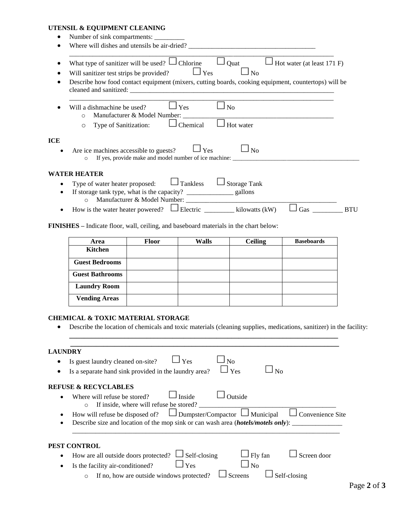### **UTENSIL & EQUIPMENT CLEANING**

| $\Box$ Yes<br>Will sanitizer test strips be provided?<br>No<br>Describe how food contact equipment (mixers, cutting boards, cooking equipment, countertops) will be<br>Yes<br>N <sub>o</sub><br>Will a dishmachine be used?<br>Manufacturer & Model Number: _________<br>$\Omega$<br>Chemical<br>Type of Sanitization:<br>Hot water<br>$\circ$<br><b>ICE</b><br>Are ice machines accessible to guests?<br>$\Box$ Yes<br>No<br>If yes, provide make and model number of ice machine: __________________________<br>$\circ$<br><b>WATER HEATER</b><br>$\Box$ Tankless<br><b>Storage Tank</b><br>Type of water heater proposed:<br>٠ | Hot water (at least 171 F) | Quat | What type of sanitizer will be used? $\Box$ Chlorine |
|-----------------------------------------------------------------------------------------------------------------------------------------------------------------------------------------------------------------------------------------------------------------------------------------------------------------------------------------------------------------------------------------------------------------------------------------------------------------------------------------------------------------------------------------------------------------------------------------------------------------------------------|----------------------------|------|------------------------------------------------------|
|                                                                                                                                                                                                                                                                                                                                                                                                                                                                                                                                                                                                                                   |                            |      |                                                      |
|                                                                                                                                                                                                                                                                                                                                                                                                                                                                                                                                                                                                                                   |                            |      |                                                      |
|                                                                                                                                                                                                                                                                                                                                                                                                                                                                                                                                                                                                                                   |                            |      |                                                      |
|                                                                                                                                                                                                                                                                                                                                                                                                                                                                                                                                                                                                                                   |                            |      |                                                      |
|                                                                                                                                                                                                                                                                                                                                                                                                                                                                                                                                                                                                                                   |                            |      |                                                      |
|                                                                                                                                                                                                                                                                                                                                                                                                                                                                                                                                                                                                                                   |                            |      |                                                      |
|                                                                                                                                                                                                                                                                                                                                                                                                                                                                                                                                                                                                                                   |                            |      |                                                      |
|                                                                                                                                                                                                                                                                                                                                                                                                                                                                                                                                                                                                                                   |                            |      |                                                      |
|                                                                                                                                                                                                                                                                                                                                                                                                                                                                                                                                                                                                                                   |                            |      |                                                      |
| How is the water heater powered?<br>$\perp$ Electric kilowatts (kW)                                                                                                                                                                                                                                                                                                                                                                                                                                                                                                                                                               | Gas                        |      | $\circ$                                              |

**FINISHES –** Indicate floor, wall, ceiling, and baseboard materials in the chart below:

| Area                   | <b>Floor</b> | Walls | <b>Ceiling</b> | <b>Baseboards</b> |
|------------------------|--------------|-------|----------------|-------------------|
| <b>Kitchen</b>         |              |       |                |                   |
| <b>Guest Bedrooms</b>  |              |       |                |                   |
| <b>Guest Bathrooms</b> |              |       |                |                   |
| <b>Laundry Room</b>    |              |       |                |                   |
| <b>Vending Areas</b>   |              |       |                |                   |

#### **CHEMICAL & TOXIC MATERIAL STORAGE**

Describe the location of chemicals and toxic materials (cleaning supplies, medications, sanitizer) in the facility:

**\_\_\_\_\_\_\_\_\_\_\_\_\_\_\_\_\_\_\_\_\_\_\_\_\_\_\_\_\_\_\_\_\_\_\_\_\_\_\_\_\_\_\_\_\_\_\_\_\_\_\_\_\_\_\_\_\_\_\_\_\_\_\_\_\_\_\_\_\_\_\_\_\_ \_\_\_\_\_\_\_\_\_\_\_\_\_\_\_\_\_\_\_\_\_\_\_\_\_\_\_\_\_\_\_\_\_\_\_\_\_\_\_\_\_\_\_\_\_\_\_\_\_\_\_\_\_\_\_\_\_\_\_\_\_\_\_\_\_\_\_\_\_\_\_\_\_**

# **LAUNDRY**

| $\square$ Yes<br>Is a separate hand sink provided in the laundry area?<br>Nο<br>٠<br><b>REFUSE &amp; RECYCLABLES</b> |  |
|----------------------------------------------------------------------------------------------------------------------|--|
|                                                                                                                      |  |
|                                                                                                                      |  |
| Inside<br>Outside<br>Where will refuse be stored?<br>If inside, where will refuse be stored?<br>$\circ$              |  |
| How will refuse be disposed of?<br>$\Box$ Dumpster/Compactor $\Box$ Municipal<br>Convenience Site                    |  |
| Describe size and location of the mop sink or can wash area <i>(hotels/motels only)</i> :                            |  |
|                                                                                                                      |  |
| PEST CONTROL                                                                                                         |  |
| $\Box$ Self-closing<br>$\Box$ Fly fan<br>How are all outside doors protected?<br>Screen door                         |  |
| Is the facility air-conditioned?<br>Yes<br>No                                                                        |  |
| If no, how are outside windows protected?<br>Screens<br>Self-closing                                                 |  |